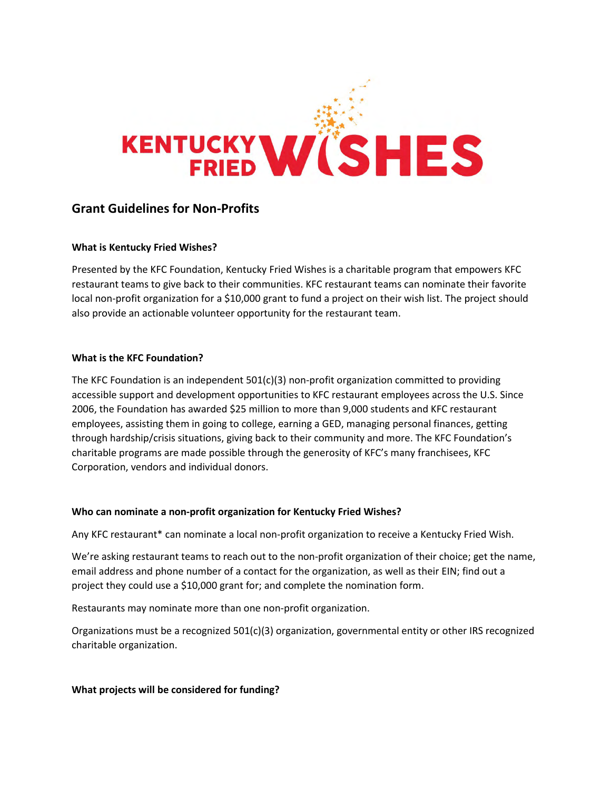

# **Grant Guidelines for Non-Profits**

#### **What is Kentucky Fried Wishes?**

Presented by the KFC Foundation, Kentucky Fried Wishes is a charitable program that empowers KFC restaurant teams to give back to their communities. KFC restaurant teams can nominate their favorite local non-profit organization for a \$10,000 grant to fund a project on their wish list. The project should also provide an actionable volunteer opportunity for the restaurant team.

#### **What is the KFC Foundation?**

The KFC Foundation is an independent  $501(c)(3)$  non-profit organization committed to providing accessible support and development opportunities to KFC restaurant employees across the U.S. Since 2006, the Foundation has awarded \$25 million to more than 9,000 students and KFC restaurant employees, assisting them in going to college, earning a GED, managing personal finances, getting through hardship/crisis situations, giving back to their community and more. The KFC Foundation's charitable programs are made possible through the generosity of KFC's many franchisees, KFC Corporation, vendors and individual donors.

#### **Who can nominate a non-profit organization for Kentucky Fried Wishes?**

Any KFC restaurant\* can nominate a local non-profit organization to receive a Kentucky Fried Wish.

We're asking restaurant teams to reach out to the non-profit organization of their choice; get the name, email address and phone number of a contact for the organization, as well as their EIN; find out a project they could use a \$10,000 grant for; and complete the nomination form.

Restaurants may nominate more than one non-profit organization.

Organizations must be a recognized 501(c)(3) organization, governmental entity or other IRS recognized charitable organization.

#### **What projects will be considered for funding?**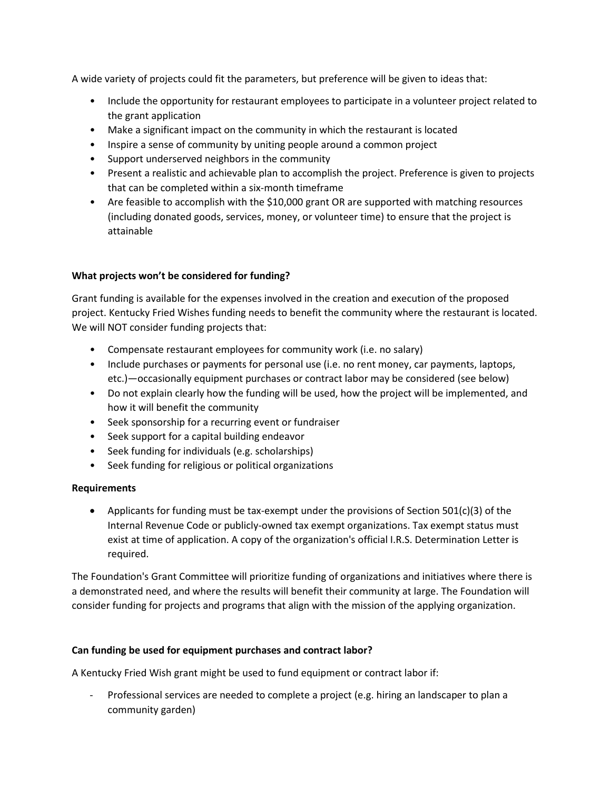A wide variety of projects could fit the parameters, but preference will be given to ideas that:

- Include the opportunity for restaurant employees to participate in a volunteer project related to the grant application
- Make a significant impact on the community in which the restaurant is located
- Inspire a sense of community by uniting people around a common project
- Support underserved neighbors in the community
- Present a realistic and achievable plan to accomplish the project. Preference is given to projects that can be completed within a six-month timeframe
- Are feasible to accomplish with the \$10,000 grant OR are supported with matching resources (including donated goods, services, money, or volunteer time) to ensure that the project is attainable

## **What projects won't be considered for funding?**

Grant funding is available for the expenses involved in the creation and execution of the proposed project. Kentucky Fried Wishes funding needs to benefit the community where the restaurant is located. We will NOT consider funding projects that:

- Compensate restaurant employees for community work (i.e. no salary)
- Include purchases or payments for personal use (i.e. no rent money, car payments, laptops, etc.)—occasionally equipment purchases or contract labor may be considered (see below)
- Do not explain clearly how the funding will be used, how the project will be implemented, and how it will benefit the community
- Seek sponsorship for a recurring event or fundraiser
- Seek support for a capital building endeavor
- Seek funding for individuals (e.g. scholarships)
- Seek funding for religious or political organizations

# **Requirements**

• Applicants for funding must be tax-exempt under the provisions of Section 501(c)(3) of the Internal Revenue Code or publicly-owned tax exempt organizations. Tax exempt status must exist at time of application. A copy of the organization's official I.R.S. Determination Letter is required.

The Foundation's Grant Committee will prioritize funding of organizations and initiatives where there is a demonstrated need, and where the results will benefit their community at large. The Foundation will consider funding for projects and programs that align with the mission of the applying organization.

# **Can funding be used for equipment purchases and contract labor?**

A Kentucky Fried Wish grant might be used to fund equipment or contract labor if:

Professional services are needed to complete a project (e.g. hiring an landscaper to plan a community garden)